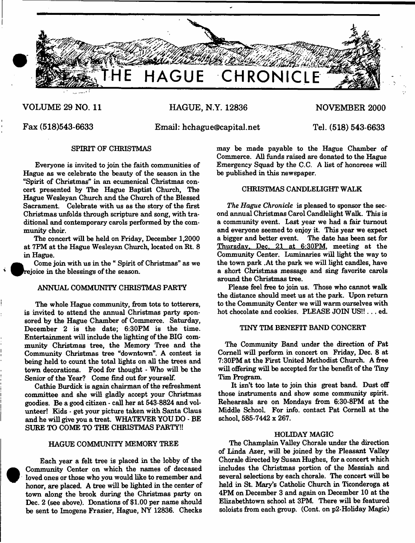

# **VOLUME 29 NO. 11 HAGUE, N.Y. 12836 NOVEMBER 2000**

**Fax (518)543-6633 Email: [hchague@capital.net](mailto:hchague@capital.net) Tel. (518) 543-6633**

# SPIRIT OF CHRISTMAS

Everyone is invited to join the faith communities of Hague as we celebrate the beauty of the season in the "Spirit of Christmas" in an ecumenical Christmas concert presented by The Hague Baptist Church, The Hague Wesleyan Church and the Church of the Blessed Sacrament. Celebrate with us as the story of the first Christmas unfolds through scripture and song, with traditional and contemporary carols performed by the community choir.

The concert will be held on Friday, December 1,2000 at 7FM at the Hague Wesleyan Church, located on Rt. 8 in Hague.

Come join with us in the " Spirit of Christmas" as we ^^rejoice in the blessings of the season.

# ANNUAL COMMUNITY CHRISTMAS PARTY

The whole Hague community, from tots to totterers, is invited to attend the annual Christmas party sponsored by the Hague Chamber of Commerce. Saturday, December 2 is the date;  $6:30PM$  is the time. Entertainment will include the lighting of the BIG community Christmas tree, the Memory Tree and the Community Christmas tree "downtown". A contest is being held to count the total lights on all the trees and town decorations. Food for thought - Who will be the Senior of the Year? Come find out for yourself.

Cathie Burdick is again chairman of the refreshment committee and she will gladly accept your Christmas goodies. Be a good citizen - call her at 543-8824 and volunteer! Kids · get your picture taken with Santa Claus and he will give you a treat. WHATEVER YOU DO - BE SURE TO COME TO THE CHRISTMAS PARTY!!

### HAGUE COMMUNITY MEMORY TREE

Each year a felt tree is placed in the lobby of the Community Center on which the names of deceased loved ones or those who you would like to remember and honor, are placed. A tree will be lighted in the center of town along the brook during the Christmas party on Dec. 2 (see above). Donations of \$1.00 per name should be sent to Imogene Frasier, Hague, NY 12836. Checks

**•** 

may be made payable to the Hague Chamber of Commerce. All funds raised are donated to the Hague Emergency Squad by the C.C. A list of honorees will be published in this newspaper.

# CHRISTMAS CANDLELIGHT WALK

*The Hague Chronicle* is pleased to sponsor the second annual Christmas Carol Candlelight Walk. This is a community event. Last year we had a fair turnout and everyone seemed to enjoy it. This year we expect a bigger and better event. The date has been set for Thursday. Dec. 21 at 6:30FM. meeting at the Community Center. Luminaries will light the way to the town park .At the park we will light candles, have a short Christmas message and sing favorite carols around the Christmas tree.

Please feel free to join us. Those who cannot walk the distance should meet us at the park. Upon return to the Community Center we will warm ourselves with hot chocolate and cookies. PLEASE JOIN US!!... ed.

# TINY TIM BENEFIT BAND CONCERT

The Community Band under the direction of Pat Cornell will perform in concert on Friday, Dec. 8 at 7:30PM at the First United Methodist Church. A free will offering will be accepted for the benefit of the Tiny Tim Program.

It isn't too late to join this great band. Dust off those instruments and show some community spirit. Rehearsals are on Mondays from 6:30-8PM at the Middle School. For info, contact Pat Cornell at the school, 585-7442 x 267.

#### HOLIDAY MAGIC

The Champlain Valley Chorale under the direction of Linda Azer, will be joined by the Pleasant Valley Chorale directed by Susan Hughes, for a concert which includes the Christmas portion of the Messiah and several selections by each chorale. The concert will be held in St. Mary's Catholic Church in Ticonderoga at 4PM on December 3 and again on December 10 at the Elizabethtown school at 3PM There will be featured soloists from each group. (Cont. on p2-Holiday Magic)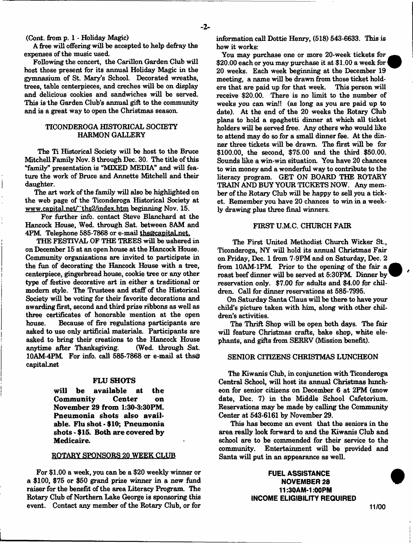(Cont. from p. 1 - Holiday Magic)

A free will offering will be accepted to help defray the expenses of the music used.

Following the concert, the Carillon Garden Club will host those present for its annual Holiday Magic in the gymnasium of St. Mary's School. Decorated wreaths, trees, table centerpieces, and creches will be on display and delicious cookies and sandwiches will be served. This is the Garden Club's annual gift to the community and is a great way to open the Christmas season.

# TICONDEROGA HISTORICAL SOCIETY HARMON GALLERY

The Ti Historical Society will be host to the Bruce Mitchell Family Nov. 8 through Dec. 30. The title of this "family" presentation is "MIXED MEDIA" and will feature the work of Bruce and Annette Mitchell and their daughter.

The art work of the family will also be highlighted on the web page of the Ticonderoga Historical Society at [www.canital.net/"ths2/index.htm](http://www.canital.net/%e2%80%9cths2/index.htm) beginning Nov. 15.

For further info, contact Steve Blanchard at the Hancock House, Wed. through Sat. between 8AM and 4PM. Telephone 585-7868 or e-mail ths@capital.net.

THE FESTIVAL OF THE TREES will be ushered in on December 15 at an open house at the Hancock House. Community organizations are invited to participate in the fun of decorating the Hancock House with a tree, centerpiece, gingerbread house, cookie tree or any other type of festive decorative art in either a traditional or modem style. The Trustees and staff of the Historical Society will be voting for their favorite decorations and awarding first, second and third prize ribbons as well as three certificates of honorable mention at the open house. Because of fire regulations participants are asked to use only artificial materials. Participants are asked to bring their creations to the Hancock House anytime after Thanksgiving. (Wed. through Sat. 10AM-4PM. For info, call 585-7868 or e-mail at ths@ capitaLnet

#### **FLU SHOTS**

**will be available at the Community Center on November 29 from 1:30-3:30PM. Pneumonia shots also available. Flu shot - \$10; Pneumonia shots - \$15. Both are covered by Medicaire.**

#### ROTARY SPONSORS 20 WEEK CLUB

For \$1.00 a week, you can be a \$20 weekly winner or a \$100, \$75 or \$50 grand prize winner in a new fund raiser for the benefit of the area Literacy Program. The Rotary Club of Northern Lake George is sponsoring this event. Contact any member of the Rotary Club, or for

information call Dottie Henry, (518) 543-6633. This is how it works:

You may purchase one or more 20-week tickets for \$20.00 each or you may purchase it at \$1.00 a week for 20 weeks. Each week beginning at the December 19 meeting, a name will be drawn from those ticket holders that are paid up for that week. This person will receive \$20.00. There is no limit to the number of weeks you can win!! (as long as you are paid up to date). At the end of the 20 weeks the Rotary Club plans to hold a spaghetti dinner at which all ticket holders will be served free. Any others who would like to attend may do so for a small dinner fee. At the dinner three tickets will be drawn. The first will be for \$100.00, the second, \$75.00 and the third \$50.00. Sounds like a win-win situation. You have 20 chances to win money and a wonderful way to contribute to the literacy program. GET ON BOARD THE ROTARY TRAIN AND BUY YOUR TICKETS NOW. Any member of the Rotary Club will be happy to sell you a ticket. Remember you have 20 chances to win in a weekly drawing plus three final winners.

#### FIRST U.M.C. CHURCH FAIR

The First United Methodist Church Wicker St., Ticonderoga, NY will hold its annual Christmas Fair on Friday, Dec. 1 from 7-9PM and on Saturday, Dec. 2 from 10AM-1PM. Prior to the opening of the fair a roast beef dinner will be served at 5:30PM Dinner by reservation only. \$7.00 for adults and \$4.00 for children. Call for dinner reservations at 585-7995.

On Saturday Santa Claus will be there to have your child's picture taken with him, along with other children's activities.

The Thrift Shop will be open both days. The fair will feature Christmas crafts, bake shop, white elephants, and gifts from SERRV (Mission benefit).

#### SENIOR CITIZENS CHRISTMAS LUNCHEON

The Kiwanis Club, in conjunction with Ticonderoga Central School, will host its annual Christmas luncheon for senior citizens on December 6 at 2PM (snow date, Dec. 7) in the Middle School Cafetorium. Reservations may be made by calling the Community Center at 543-6161 by November 29.

This has become an event that the seniors in the area really look forward to and the Kiwanis Club and school are to be commended for their service to the community. Entertainment will be provided and Santa will put in an appearance as well.

> FUEL ASSISTANCE NOVEMBER 28 11:30AM-1:00PM INCOME ELIGIBILITY REQUIRED

11/00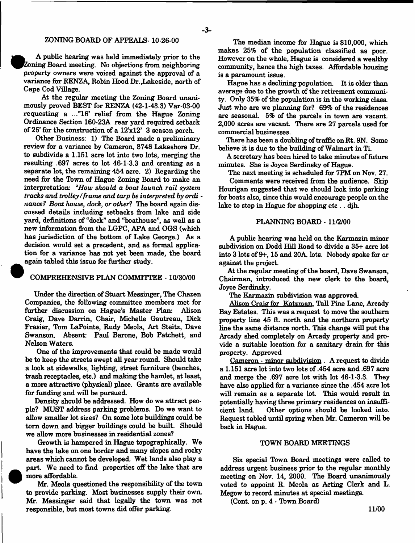# ZONING BOARD OF APPEALS-10-26-00

- 3-

A public hearing was held immediately prior to the Zoning Board meeting. No objections from neighboring property owners were voiced against the approval of a variance for RENZA, Robin Hood Dr.^Lakeside, north of Cape Cod Village.

At the regular meeting the Zoning Board unanimously proved BEST for RENZA (42-1-43.3) Var-03-00 requesting a ..."16' relief from the Hague Zoning Ordinance Section 160-23A rear yard required setback of 25' for the construction of a  $12x12$ ' 3 season porch.

Other Business: 1) The Board made a preliminary review for a variance by Cameron, 8748 Lakeshore Dr. to subdivide a 1.151 acre lot into two lots, merging the resulting .697 acres to lot 46-1-3.3 and creating as a separate lot, the remaining 454 acre. 2) Regarding the need for the Town of Hague Zoning Board to make an interpretation: "*How should a boat launch rail system tracks and trolley/frame and tarp be interpreted by ordi nance? Boat house, dock, or other*? The board again discussed details including setbacks from lake and side yard, definitions of "dock" and "boathouse", as well as a new information from the LGPC, APA and OGS (which has jurisdiction of the bottom of Lake George.) As a decision would set a precedent, and as formal application for a variance has not yet been made, the board again tabled this issue for further study.

# COMPREHENSIVE PLAN COMMITTEE -10/30/00

Under the direction of Stuart Messinger, The Chazen Companies, the following committee members met for further discussion on Hague's Master Plan: Alison Craig, Dave Darrin, Chair, Michelle Gautreau, Dick Frasier, Tom LaPointe, Rudy Meola, Art Steitz, Dave Swanson. Absent: Paul Barone, Bob Patchett, and Nelson Waters.

One of the improvements that could be made would be to keep the streets swept all year round. Should take a look at sidewalks, lighting, street furniture (benches, trash receptacles, etc.) and making the hamlet, at least, a more attractive (physical) place. Grants are available for funding and will be pursued.

Density should be addressed. How do we attract people? MUST address parking problems. Do we want to allow smaller lot sizes? On some lots buildings could be torn down and bigger buildings could be built. Should we allow more businesses in residential zones?

Growth is hampered in Hague topographically. We have the lake on one border and many slopes and rocky areas which cannot be developed. Wet lands also play a part. We need to find properties off the lake that are more affordable.

Mr. Meola questioned the responsibility of the town to provide parking. Most businesses supply their own. Mr. Messinger said that legally the town was not responsible, but most towns did offer parking.

The median income for Hague is \$10,000, which makes 25% of the population classified as poor. However on the whole, Hague is considered a wealthy community, hence the high taxes. Affordable housing is a paramount issue.

Hague has a declining population. It is older than average due to the growth of the retirement community. Only 35% of the population is in the working class. Just who are we planning for? 69% of the residences are seasonal. 5% of the parcels in town are vacant. 2,000 acres are vacant. There are 27 parcels used for commercial businesses.

There has been a doubling of traffic on Rt. 9N. Some believe it is due to the building of Walmart in Ti.

A secretary has been hired to take minutes of future minutes. She is Joyce Serdinsky of Hague.

The next meeting is scheduled for TPM on Nov. 27.

Comments were received from the audience. Skip Hourigan suggested that we should look into parking for boats also, since this would encourage people on the lake to stop in Hague for shopping etc . . djh.

# PLANNING BOARD -11/2/00

A public hearing was held on the Karmazin **minor** subdivision on Dodd Hill Road to divide a 35+ acre lot into 3 lots of 9+, 15 and 20A. lots. Nobody spoke for or against the project.

At the regular meeting of the board, Dave Swanson, Chairman, introduced the new clerk to the board, Joyce Serdinsky.

The Karmazin subdivision was approved.

Alison Craig for Katzman, Tall Pine Lane, Arcady Bay Estates. This was a request to move the southern property line 45 ft. north and the northern property line the same distance north. This change will put the Arcady shed completely on Arcady property and provide a suitable location for a sanitary drain for this property. Approved

Cameron - minor subdivision. A request to divide a 1.151 acre lot into two lots of .454 acre and .697 acre and merge the .697 acre lot with lot 46-1-3.3. They have also applied for a variance since the .454 acre lot will remain as a separate lot. This would result in potentially having three primary residences on insufficient land. Other options should be looked into. Request tabled until spring when Mr. Cameron will be back in Hague.

#### TOWN BOARD MEETINGS

Six special Town Board meetings were called to address urgent business prior to the regular monthly meeting on Nov. 14, 2000. The Board unanimously voted to appoint R. Meola as Acting Clerk and L. Megow to record minutes at special meetings.

(Cont. on **p.** 4 - Town Board)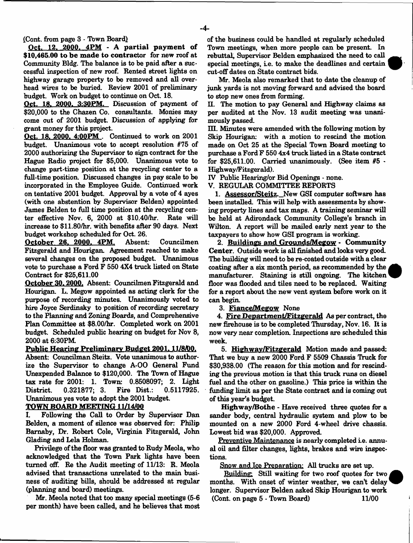-4-

#### (Cont. from page 3 - Town Board)

Oct. 12, 2000.  $4PM - A$  partial payment of \$10,465.00 to be made to contractor for new roof at Community Bldg. The balance is to be paid after a suecessful inspection of new roof. Rented street lights on highway garage property to be removed and all overhead wires to be buried. Review 2001 of preliminary budget. Work on budget to continue on Oct. 18.

Oct. 18. 2000. 3:30PM. Discussion of payment of \$20,000 to the Chazen Co. consultants. Monies may come out of 2001 budget. Discussion of applying for grant money for this project.

Oct. 18, 2000. 4:00 PM. Continued to work on 2001 budget. Unanimous vote to accept resolution #75 of 2000 authorizing the Supervisor to sign contract for the Hague Radio project for \$5,000. Unanimous vote to change part-time position at the recycling center to a full-time position. Discussed changes in pay scale to be incorporated in the Employee Guide. Continued work on tentative 2001 budget. Approval by a vote of 4 ayes (with one abstention by Supervisor Belden) appointed James Belden to full time position at the recycling center effective Nov. 6, 2000 at \$10.40/hr. Rate will increase to \$11.80/hr. with benefits after 90 days. Next budget workshop scheduled for Oct. 26.

O ctober 26. 2000. 4PM. Absent: Councilmen Fitzgerald and Hourigan. Agreement reached to make several changes on the proposed budget. Unanimous vote to purchase a Ford F 550 4X4 truck listed on State Contract for \$25,611.00

October 30.2000. Absent: Councilmen Fitzgerald and Hourigan. L. Megow appointed as acting clerk for the purpose of recording minutes. Unanimously voted to hire Joyce Serdinsky to position of recording secretary to the Planning and Zoning Boards, and Comprehensive Plan Committee at \$8.00/hr. Completed work on 2001 budget. Scheduled public hearing on budget for Nov 8, 2000 at 6:30PM.

#### Public Hearing Preliminary Budget 2001, 11/8/00.

Absent: Councilman Steitz. Vote unanimous to authorize the Supervisor to change A-00 General Fund Unexpended Balance to \$120,000. The Town of Hague tax rate for 2001: 1. Town: 0.8508097; 2. light District. 0.321877; 3. Fire Dist.: 0.5117925. Unanimous yes vote to adopt the 2001 budget.

# TOWN BOARD MEETING 11/14/00

I. Following the Call to Order by Supervisor Dan Belden, a moment of silence was observed for: Philip Bamaby, Dr. Robert Cole, Virginia Fitzgerald, John Glading and Lela Holman.

Privilege of the floor was granted to Rudy Meola, who acknowledged that the Town Park lights have been turned off. Re the Audit meeting of 11/13: R. Meola advised that transactions unrelated to the main business of auditing bills, should be addressed at regular (planning and board) meetings.

Mr. Meola noted that too many special meetings (5-6 per month) have been called, and he believes that most of the business could be handled at regularly scheduled Town meetings, when more people can be present. In rebuttal, Supervisor Belden emphasized the need to call special meetings, ie. to make the deadlines and certain cut-off dates on State contract bids.



H. The motion to pay General and Highway claims as per audited at the Nov. 13 audit meeting was unanimously passed.

HI. Minutes were amended with the following motion by Skip Hourigan: with a motion to rescind the motion made on Oct 25 at the Special Town Board meeting to purchase a Ford F 550 4x4 truck listed in a State contract for  $$25,611.00$ . Carried unanimously. (See item  $#5$ Highway/Fitzgerald).

IV Public Hearing/or Bid Openings - none.

V. REGULAR COMMITTEE REPORTS

1. Assessor/Steitz. New GSI computer software has been installed. This will help with assessments by showing property lines and tax maps. A training seminar will be held at Adirondack Community College's branch in Wilton. A report will be mailed early next year to the taxpayers to show how GSI program is working.

2. Buildings and Grounds/Megow - Community Center. Outside work is all finished and looks very good. The building will need to be re-coated outside with a clear coating after a six month period, as recommended by the manufacturer. Staining is still ongoing. The kitchen floor was flooded and tiles need to be replaced. Waiting for a report about the new vent system before work on it can begin.

3. Fiance/Megow None

4. Fire Department/Fitzgerald As per contract, the new firehouse is to be completed Thursday, Nov. 16. It is now very near completion. Inspections are scheduled this week.

5. Highway/Fitzgerald Motion made and passed: That we buy a new 2000 Ford F 5509 Chassis Truck for \$30,938.00 (The reason for this motion and for rescinding the previous motion is that this truck runs on diesel fuel and the other on gasoline.) This price is within the funding limit as per the State contract and is coming out of this year's budget.

Highway/Bothe - Have received three quotes for a sander body, central hydraulic system and plow to be mounted on a new 2000 Ford 4-wheel drive chassis. Lowest bid was \$20,000. Approved.

Preventive Maintenance is nearly completed ie. annual oil and filter changes, lights, brakes and wire inspections.

Snow and Ice Preparation: All trucks are set up.

Building: Still waiting for two roof quotes for two months. With onset of winter weather, we can't delay longer. Supervisor Belden asked Skip Hourigan to work (Cont. on page  $5 \cdot$  Town Board) 11/00

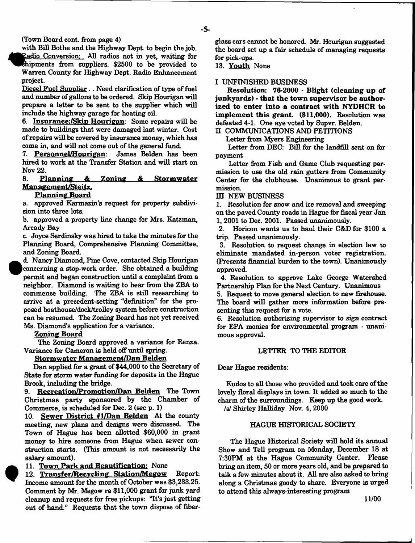(Town Board cont. from page 4)

with Bill Bothe and the Highway Dept, to begin the job. Radio Conversion: All radios not in yet, waiting for Shipments from suppliers. \$2500 to be provided to Warren County for Highway Dept. Radio Enhancement project.

Diesel Fuel Supplier.. Need clarification of type of fuel and number of gallons to be ordered. Skip Hourigan will prepare a letter to be sent to the supplier which will include the highway garage for heating oil.

6. Insurance:/Skip Hourigan: Some repairs will be made to buildings that were damaged last winter. Cost of repairs will be covered by insurance money, which has come in, and will not come out of the general fund.<br>7. Personnel/Hourigan: James Belden has been

7. Personnel/Hourigan: hired to work at the Transfer Station and will start on Nov 22.<br>8. **P** 

# 8. P lanning & Zoning *&* Storm w ater Management/Steitz.

#### **Planning Board**

a. approved Karmazin's request for property subdivision into three lots.

b. approved a property line change for Mrs. Katzman, Arcady Bay

c. Joyce Serdinsky was hired to take the minutes for the Planning Board, Comprehensive Planning Committee, and Zoning Board.

d. Nancy Diamond, Pine Cove, contacted Skip Hourigan | concerning a stop-work order. She obtained a building permit and began construction until a complaint from a neighbor. Diamond is waiting to hear from the ZBA to commence building. The ZBA is still researching to arrive at a precedent-setting "definition" for the proposed boathouse/dock/trolley system before construction can be resumed. The Zoning Board has not yet received Ms. Diamond's application for a variance.

Zoning Board

The Zoning Board approved a variance for Renza. Variance for Cameron is held off until spring.

# Stormwater Management/Dan Belden

Dan applied for a grant of \$44,000 to the Secretary of State for storm water funding for deposits in the Hague Brook, including the bridge.

9. Recreation/Promotion/Dan Belden The Town Christmas party sponsored by the Chamber of Commerce, is scheduled for Dec. 2 (see p. 1)

10. Sewer District  $#1/Dan$  Belden At the county meeting, new plans and designs were discussed. The Town of Hague has been allotted \$60,000 in grant money to hire someone from Hague when sewer construction starts. (This amount is not necessarily the salary amount).

11. Town Park and Beautification: None

12. Transfer/Recycling Station/Megow Report: Income amount for the month of October was \$3,233.25. Comment by Mr. Megow re \$11,000 grant for junk yard cleanup and requests for free pickups: "It's just getting out of hand." Requests that the town dispose of fiberglass cars cannot be honored. Mr. Hourigan suggested the board set up a fair schedule of managing requests for pick-ups.

13. Youth None

# I UNFINISHED BUSINESS

Resolution: 76-2000 - Blight (cleaning up of junkyards) - that the town supervisor be authorized to enter into a contract with NYDHCR to implement this grant. (\$11,000). Resolution was defeated 4-1. One aye voted by Supvr. Belden.

II COMMUNICATIONS AND PETITIONS

Letter from Myers Engineering

Letter from DEC: Bill for the landfill sent on for payment

Letter from Fish and Game Club requesting permission to use the old rain gutters from Community Center for the clubhouse. Unanimous to grant permission.

III NEW BUSINESS

1. Resolution for snow and ice removal and sweeping on the paved County roads in Hague for fiscal year Jan 1. 2001 to Dec. 2001. Passed unanimously.

2. Horicon wants us to haul their C&D for \$100 a trip. Passed unanimously.

3. Resolution to request change in election law to eliminate mandated in-person voter registration. (Presents financial burden to the town). Unanimously approved.

4. Resolution to approve Lake George Watershed Partnership Plan for the Next Century. Unanimous

5. Request to move general election to new firehouse. The board will gather more information before presenting this request for a vote.

6. Resolution authorizing supervisor to sign contract for EPA monies for environmental program - unanimous approval.

#### LETTER TO THE EDITOR

Dear Hague residents:

Kudos to all those who provided and took care of the lovely floral displays in town. It added so much to the charm of the surroundings. Keep up the good work, /s/ Shirley Halliday Nov. 4, 2000

### HAGUE HISTORICAL SOCIETY

The Hague Historical Society will hold its annual Show and Tell program on Monday, December 18 at 7:30PM at the Hague Community Center. Please bring an item, 50 or more years old, and be prepared to talk a few minutes about it. All are also asked to bring along a Christmas goody to share. Everyone is urged to attend this always-interesting program

11/00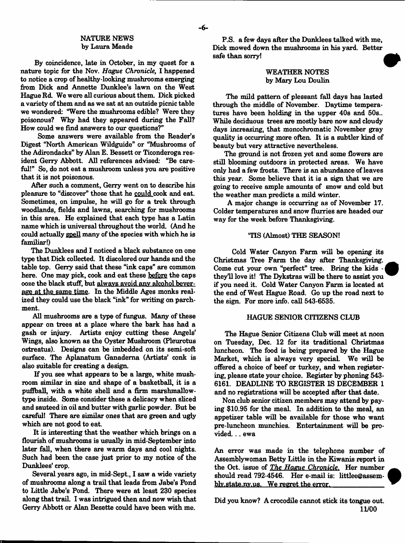# NATURE NEWS by Laura Meade

By coincidence, late in October, in my quest for a nature topic for the Nov. *Hague Chronicle,* I happened to notice a crop of healthy-looking mushrooms emerging from Dick and Annette Dunklee's lawn on the West Hague Rd. We were all curious about them. Dick picked a variety of them and as we sat at an outside picnic table we wondered: "Were the mushrooms edible? Were they poisonous? Why had they appeared during the Fall? How could we find answers to our questions?"

Some answers were available from the Reader's Digest "North American Wildguide" or "Mushrooms of the Adirondacks" by Alan E. Bessett or Ticonderoga resident Gerry Abbott. All references advised: "Be careful!" So, do not eat a mushroom unless you are positive that it is not poisonous.

After such a comment, Gerry went on to describe his pleasure to "discover" those that he could cook and eat. Sometimes, on impulse, he will go for a trek through woodlands, fields and lawns, searching for mushrooms in this area. He explained that each type has a Latin name which is universal throughout the world. (And he could actually spell many of the species with which he is familiar!)

The Dunklees and I noticed a black substance on one type that Dick collected. It discolored our hands and the table top. Gerry said that these "ink caps" are common here. One may pick, cook and eat these before the caps ooze the black stuff, but always avoid anv alcohol beverage at the same time. In the Middle Ages monks realized they could use the black "ink" for writing on parchment.

All mushrooms are a type of fungus. Many of these appear on trees at a place where the bark has had a gash or injury. Artists enjoy cutting these Angels' Wings, also known as the Oyster Mushroom (Pleurotus ostreatus). Designs can be imbedded on its semi-soft surface. The Aplanatum Ganadema (Artists' conk is also suitable for creating a design.

If you see what appears to be a large, white mushroom similar in size and shape of a basketball, it is a puffball, with a white shell and a firm marshmallowtype inside. Some consider these a delicacy when sliced and sauteed in oil and butter with garlic powder. But be careful! There are similar ones that are green and ugly which are not good to eat.

It is interesting that the weather which brings on a flourish of mushrooms is usually in mid-September into later fall, when there are warm days and cool nights. Such had been the case just prior to my notice of the Dunklees' crop.

Several years ago, in mid-Sept., I saw a wide variety of mushrooms along a trail that leads from Jabe's Pond to Little Jabe's Pond. There were at least 230 species along that trail. I was intrigued then and now wish that Gerry Abbott or Alan Besette could have been with me.

P.S. a few days after the Dunklees talked with me, Dick mowed down the mushrooms in his yard. Better safe than sorry!

# WEATHER NOTES by Mary Lou Doulin

The mild pattern of plessant fall days has lasted through the middle of November. Daytime temperatures have been holding in the upper 40s and 50s.. While deciduous trees are mostly bare now and cloudy days increasing, that monochromatic November gray quality is occurring more often. It is a subtler kind of beauty but very attractive nevertheless.

The ground is not frozen yet and some flowers are still blooming outdoors in protected areas. We have only had a few frosts. There is an abundance of leaves this year. Some believe that it is a sign that we are going to receive ample amounts of snow and cold but the weather man predicts a mild winter.

A major change is occurring as of November 17. Colder temperatures and snow flurries are headed our way for the week before Thanksgiving.

### TIS (Almost) THE SEASON!

Cold Water Canyon Farm will be opening its Christmas Tree Farm the day after Thanksgiving. Come cut your own "perfect" tree. Bring the kids they'll love it! The Dykstras will be there to assist you if you need it. Cold Water Canyon Farm is located at the end of West Hague Road. Go up the road next to the sign. For more info, call 543-6535.

# HAGUE SENIOR CITIZENS CLUB

The Hague Senior Citizens Club will meet at noon on Tuesday, Dec. 12 for its traditional Christmas luncheon. The food is being prepared by the Hague Market, which is always very special. We will be offered a choice of beef or turkey, and when registering, please state your choice. Register by phoning 543- 6161. DEADLINE TO REGISTER IS DECEMBER 1 and no registrations will be accepted after that date.

Non club senior citizen members may attend by paying \$10.95 for the meal. In addition to the meal, an appetizer table will be available for those who want pre-luncheon munchies. Entertainment will be provided. .. ewa

An error was made in the telephone **number** of Assemblywoman Betty Little in the Kiwanis report in the Oct. issue of *The Haeue Chronicle*. Her number should read 792-4546. Her e-mail is: littlee@assemblv.state.nv.us. We regret the error.

Did you know? A crocodile cannot stick its tongue out. **11/00**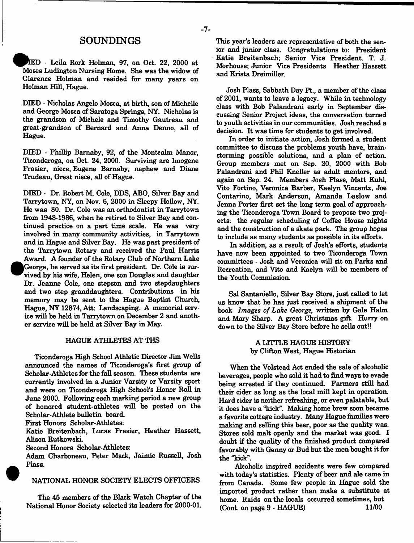# SOUNDINGS

D - Leila Rork Holman, 97, on Oct. 22, 2000 at Moses Ludington Nursing Home. She was the widow of Clarence Holman and resided for many years on Holman Hill, Hague.

DIED - Nicholas Angelo Mosca, at birth, son of Michelle and George Mosca of Saratoga Springs, NY. Nicholas is the grandson of Michele and Timothy Gautreau and great-grandson of Bernard and Anna Denno, all of Hague.

DIED - Phillip Bamaby, 92, of the Montcalm Manor, Ticonderoga, on Oct. 24, 2000. Surviving are Imogene Frasier, niece, Eugene Barnaby, nephew and Diane Trudeau, Great niece, all of Hague.

DIED - Dr. Robert M. Cole, DDS, ABO, Silver Bay and Tarrytown, NY, on Nov. 6, 2000 in Sleepy Hollow, NY. He was 80. Dr. Cole was an orthodontist in Tarrytown from 1948-1986, when he retired to Silver Bay and continued practice on a part time scale. He was very involved in many community activities, in Tarrytown and in Hague and Silver Bay. He was past president of the Tarrytown Rotary and received the Paul Harris Award. A founder of the Rotary Club of Northern Lake George, he served as its first president. Dr. Cole is survived by his wife, Helen, one son Douglas and daughter Dr. Jeanne Cole, one stepson and two stepdaughters and two step granddaughters. Contributions in his memory may be sent to the Hague Baptist Church, Hague, NY 12874, Att: Landscaping. A memorial service will be held in Tarrytown on December 2 and another service will be held at Silver Bay in May.

## HAGUE ATHLETES AT THS

Ticonderoga High School Athletic Director Jim Wells announced the names of Ticonderoga's first group of Scholar-Athletes for the fall season. These students are currently involved in a Junior Varsity or Varsity sport and were on Ticonderoga High School's Honor Roll in June 2000. Following each marking period a new group of honored student-athletes will be posted on the Scholar-Athlete bulletin board.

First Honors Scholar-Athletes:

Katie Breitenbach, Lucas Frasier, Heather Hassett, Alison Rutkowski.

Second Honors Scholar-Athletes:

Adam Charboneau, Peter Mack, Jaimie Russell, Josh Plass.

# NATIONAL HONOR SOCIETY ELECTS OFFICERS

The 45 members of the Black Watch Chapter of the National Honor Society selected its leaders for 2000-01.

This year's leaders are representative of both the senior and junior class. Congratulations to: President Katie Breitenbach; Senior Vice President. T. J. Morhouse; Junior Vice Presidents Heather Hassett and Krista Dreimiller.

Josh Plass, Sabbath Day Pt., a member of the class of 2001, wants to leave a legacy. While in technology class with Bob Palandrani early in September discussing Senior Project ideas, the conversation turned to youth activities in our communities. Josh reached a decision. It was time for students to get involved.

In order to initiate action, Josh formed a student committee to discuss the problems youth have, brainstorming possible solutions, and a plan of action. Group members met on Sep. 20, 2000 with Bob Palandrani and Phil Kneller as adult mentors, and again on Sep. 24. Members Josh Plass, Matt Kuhl, Vito Fortino, Veronica Barber, Kaelyn Vincentz, Joe Contarino, Mark Anderson, Amanda Laslow and Jenna Porter first set the long term goal of approaching the Ticonderoga Town Board to propose two projects: the regular scheduling of Coffee House nights and the construction of a skate park. The group hopes to include as many students as possible in its efforts.

In addition, as a result of Josh's efforts, students have now been appointed to two Ticonderoga Town committees - Josh and Veronica will sit on Parks and Recreation, and Vito and Kaelyn will be members of the Youth Commission.

Sal Santaniello, Silver Bay Store, just called to let us know that he has just received a shipment of the book *Images of Lake George,* written by Gale Halm and Mary Sharp. A great Christmas gift. Hurry on down to the Silver Bay Store before he sells out!!

> A LITTLE HAGUE HISTORY by Clifton West, Hague Historian

When the Volstead Act ended the sale of alcoholic beverages, people who sold it had to find ways to evade being arrested if they continued. Farmers still had their cider as long as the local mill kept in operation. Hard cider is neither refreshing, or even palatable, but it does have a "kick". Making home brew soon became a favorite cottage industry. Many Hague families were making and selling this beer, poor as the quality was. Stores sold malt openly and the market was good. I doubt if the quality of the finished product compared favorably with Genny or Bud but the men bought it for the "kick".

Alcoholic inspired accidents were few compared with today's statistics. Plenty of beer and ale came in from Canada. Some few people in Hague sold the imported product rather than make a substitute at home. Raids on the locals occurred sometimes, but  $(Cont. on page 9 - HAGUE)$  11/00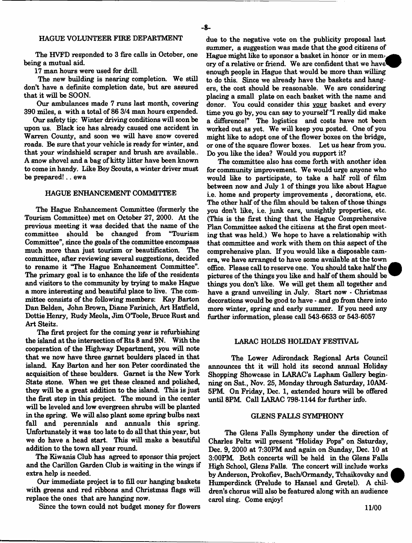#### HAGUE VOLUNTEER FIRE DEPARTMENT

The HVFD responded to 3 fire calls in October, one being a mutual aid.

17 man hours were used for drill.

The new building is nearing completion. We still don't have a definite completion date, but are assured that it will be SOON.

Our ambulances made 7 runs last month, covering 390 miles, a with a total of 86 3/4 man hours expended.

Our safety tip: Winter driving conditions will soon be upon us. Black ice has already caused one accident in Warren County, and soon we will have snow covered roads. Be sure that your vehicle is ready for winter, and that your windshield scraper and brush are available.. A snow shovel and a bag of kitty litter have been known to come in handy. Like Boy Scouts, a winter driver must be prepared!.. ewa

#### HAGUE ENHANCEMENT COMMITTEE

The Hague Enhancement Committee (formerly the Tourism Committee) met on October 27, 2000. At the previous meeting it was decided that the name of the committee should be changed from "Tourism" committee should be changed from Committee", since the goals of the committee encompass much more than just tourism or beautification. The committee, after reviewing several suggestions, decided to rename it "The Hague Enhancement Committee". The primary goal is to enhance the life of the residents and visitors to the community by trying to make Hague a more interesting and beautiful place to live. The committee consists of the following members: Kay Barton Dan Belden, John Brown, Diane Farinich, Art Hatfield, Dottie Henry, Rudy Meola, Jim O'Toole, Bruce Rust and Art Steitz.

The first project for the coming year is refurbishing the island at the intersection of Rts 8 and 9N. With the cooperation of the Highway Department, you will note that we now have three garnet boulders placed in that island. Kay Barton and her son Peter coordinated the acquisition of these boulders. Garnet is the New York State stone. When we get these cleaned and polished, they will be a great addition to the island. This is just the first step in this project. The mound in the center will be leveled and low evergreen shrubs will be planted in the spring. We will also plant some spring bulbs next fall and perennials and annuals this spring. Unfortunately it was too late to do all that this year, but we do have a head start. This will make a beautiful addition to the town all year round.

The Kiwanis Club has agreed to sponsor this project and the Carillon Garden Club is waiting in the wings if extra help is needed.

Our immediate project is to fill our hanging baskets with greens and red ribbons and Christmas flags will replace the ones that are hanging now.

Since the town could not budget money for flowers

due to the negative vote on the publicity proposal last summer, a suggestion was made that the good citizens of Hague might like to sponsor a basket in honor or in memory of a relative or friend. We are confident that we have" enough people in Hague that would be more than willing to do this. Since we already have the baskets and hangers, the cost should be reasonable. We are considering placing a small plate on each basket with the name and donor. You could consider this your basket and every time you go by, you can say to yourself "I really did make a difference!" The logistics and costs have not been worked out as yet. We will keep you posted. One of you might like to adopt one of the flower boxes on the bridge, or one of the square flower boxes. Let us hear from you. Do you like the idea? Would you support it?

The committee also has come forth with another idea for community improvement. We would urge anyone who would like to participate, to take a half roll of film between now and July 1 of things you like about Hague i.e. home and property improvements , decorations, etc. The other half of the film should be taken of those things you don't like, i.e. junk cars, unsightly properties, etc. (This is the first thing that the Hague Comprehensive Plan Committee asked the citizens at the first open meeting that was held.) We hope to have a relationship with that committee and work with them on this aspect of the comprehensive plan. If you would like a disposable camera, we have arranged to have some available at the town office. Please call to reserve one. You should take half the *i* pictures of the things you like and half of them should be things you don't like. We will get them all together and have a grand unveiling in July. Start now - Christmas decorations would be good to have - and go from there into more winter, spring and early summer. If you need any further information, please call 543-6633 or 543-6057

#### LARAC HOLDS HOLIDAY FESTIVAL

The Lower Adirondack Regional Arts Council announces tht it will hold its second annual Holiday Shopping Showcase in LARAC's Lapham Gallery beginning on Sat., Nov. 25, Monday through Saturday, 10AM-5PM. On Friday, Dec. 1, extended hours will be offered until 8PM. Call LARAC 798-1144 for further info.

#### GLENS FALLS SYMPHONY

The Glens Falls Symphony under the direction of Charles Peltz will present "Holiday Pops" on Saturday, Dec. 9, 2000 at 7:30PM and again on Sunday, Dec. 10 at 3:00PM. Both concerts will be held in the Glens Falls High School, Glens Falls. The concert will include works by Anderson, Prokofiev, Bach/Ormandy, Tchaikovsky and Humperdinck (Prelude to Hansel and Gretel). A children's chorus will also be featured along with an audience carol sing. Come enjoy!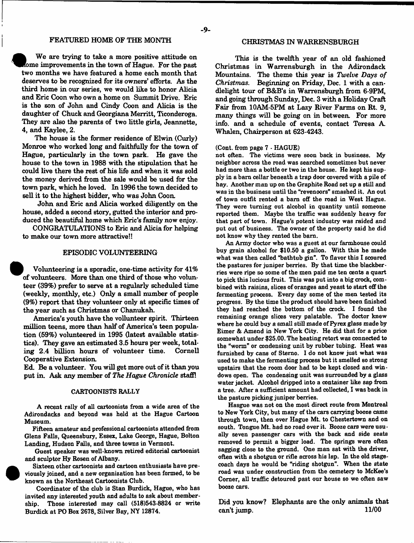# FEATURED HOME OF THE MONTH

We are trying to take a more positive attitude on Rome improvements in the town of Hague. For the past two months we have featured a home each month that deserves to be recognized for its owners' efforts. As the third home in our series, we would like to honor Alicia and Eric Coon who own a home on Summit Drive. Eric is the son of John and Cindy Coon and Alicia is the daughter of Chuck and Georgiana Merritt, Ticonderoga. They are also the parents of two little girls, Jeannette, 4, and Kaylee, 2.

The house is the former residence of Elwin (Curly) Monroe who worked long and faithfully for the town of Hague, particularly in the town park. He gave the house to the town in 1988 with the stipulation that he could live there the rest of his life and when it was sold the money derived from the sale would be used for the town park, which he loved. In 1996 the town decided to sell it to the highest bidder, who was John Coon.

John and Eric and Alicia worked diligently on the house, added a second story, gutted the interior and produced the beautiful home which Eric's family now enjoy.

CONGRATULATIONS to Eric and Alicia for helping to make our town more attractive!!

# EPISODIC VOLUNTEERING

| Volunteering is a sporadic, one-time activity for 41% of volunteers. More than one third of those who volunteer (39%) prefer to serve at a regularly scheduled time (weekly, monthly, etc.) Only a small number of people (9%) report that they volunteer only at specific times of the year such as Christmas or Chanukah.

America's youth have the vollunteer spirit. Thirteen million teens, more than half of America's teen population (59%) volunteered in 1995 (latest available statistics). They gave an estimated 3.5 hours per week, totaling 2.4 billion hours of volunteer time. Cornell Cooperative Extension.

Ed. Be a volunteer. You will get more out of it than you put in. Ask any member of *The Hague Chronicle* staff!

#### CARTOONISTS RALLY

A recent rally of all cartoonists from a wide area of the Adirondacks and beyond was held at the Hague Cartoon Museum.

Fifteen amateur and professional cartoonists attended from Glens Falls, Queensbury, Essex, Lake George, Hague, Bolton Landing, Hudson Falls, and three towns in Vermont.

Guest speaker was well-known retired editorial cartoonist and sculptor Hy Rosen of Albany.

Sixteen other cartoonists and cartoon enthusiasts have previously joined, and a new organization has been formed, to be known as the Northeast Cartoonists Club.

Coordinator of the club is Stan Burdick, Hague, who has invited any interested youth and adults to ask about membership. Those interested may call (518)543-8824 or write Burdick at PO Box 2678, Silver Bay, NY 12874.

#### CHRISTMAS IN WARRENSBURGH

This is the twelfth year of an old fashioned Christmas in Warrensburgh in the Adirondack Mountains. The theme this year is *Twelve Days of Christmas.* Beginning on Friday, Dec. 1 with a candlelight tour of B&B's in Warrensburgh from 6-9PM, and going through Sunday, Dec. 3 with a Holiday Craft Fair from 10AM-5PM at Lazy River Farms on Rt. 9, many things will be going on in between. For more info, and a schedule of events, contact Teresa A. Whalen, Chairperson at 623-4243.

#### (Cont. from page 7 - HAGUE)

not often. The victims were soon back in business. My neighbor across the road was searched sometimes but never had more than a bottle or two in the house. He kept his supply in a bam cellar beneath a trap door covered with a pile of bay. Another man up on the Graphite Road set up a still and was in the business until the "revenoors" smashed it. An out of town outfit rented a bam off the road in West Hague. They were turning out alcohol in quantity until someone reported them. Maybe the traffic was suddenly heavy for that part of town. Hague's potent industry was raided and put out of business. The owner of the property said he did not know why they rented the bam.

An Army doctor who was a guest at our farmhouse could buy grain alcohol for \$10.50 a gallon. With this he made what was then called "bathtub gin". To flavor this I scoured the pastures for juniper berries. By that time the blackberries were ripe so some of the men paid me ten cents a quart to pick this lucious fruit. This was put into a big crock, combined with raisins, slices of oranges and yeast to start off the fermenting process. Every day some of the men tested its progress. By the time the product should have been finished they had reached the bottom of the crock. I found the remaining orange slices very palatable. The doctor knew where he could buy a small still made of Pyrex glass made by Eimer & Amend in New York City. He did that for a price somewhat under \$25.00. The heating retort was connected to the "worm" or condensing unit by rubber tubing. Heat was furnished by cans of Stemo. I do not know just what was used to make the fermenting process but it smelled so strong upstairs that the room door had to be kept closed and windows open. The condensing unit was surrounded by a glass water jacket. Alcohol dripped into a container like sap from a tree. After a sufficient amount had collected, I was back in the pasture picking juniper berries.

Hasgue was not on the most direct route from Montreal to New York City, but many of the cars carrying booze came through town, then over Hague Mt. to Chestertown and on south. Tongue Mt. had no road over it. Booze cars were usually seven passenger cars with the back and side seats removed to permit a bigger load. The springs were often sagging dose to the ground. One man sat with the driver, often with a shotgun or rifle across his lap. In the old stagecoach days he would be "riding shotgun". When the state road was under construction from the cemetery to McKee's Comer, all traffic detoured past our house so we often saw booze cars.

Did you know? Elephants are the only animals that can't jump. 11/00